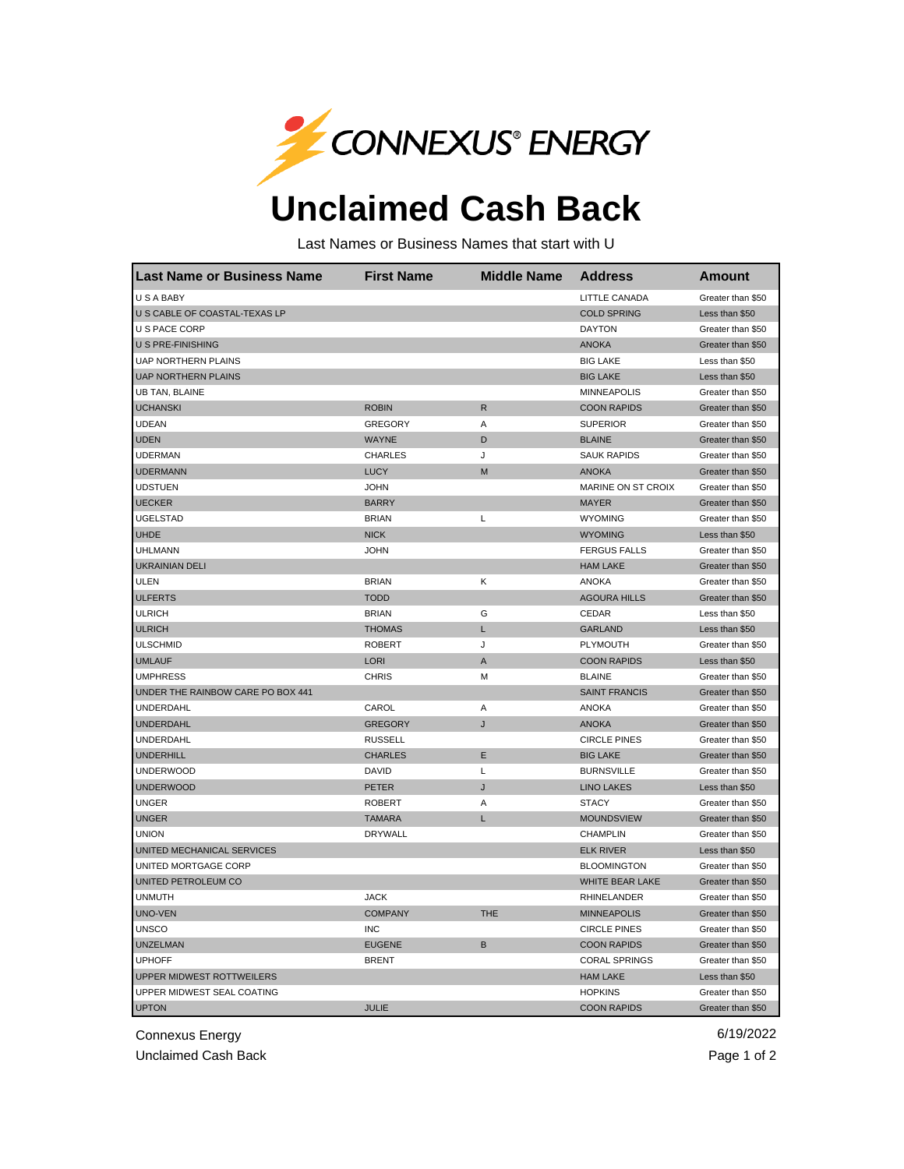

## **Unclaimed Cash Back**

Last Names or Business Names that start with U

| <b>Last Name or Business Name</b> | <b>First Name</b> | <b>Middle Name</b> | <b>Address</b>            | <b>Amount</b>     |
|-----------------------------------|-------------------|--------------------|---------------------------|-------------------|
| U S A BABY                        |                   |                    | LITTLE CANADA             | Greater than \$50 |
| U S CABLE OF COASTAL-TEXAS LP     |                   |                    | <b>COLD SPRING</b>        | Less than \$50    |
| U S PACE CORP                     |                   |                    | <b>DAYTON</b>             | Greater than \$50 |
| U S PRE-FINISHING                 |                   |                    | <b>ANOKA</b>              | Greater than \$50 |
| <b>UAP NORTHERN PLAINS</b>        |                   |                    | <b>BIG LAKE</b>           | Less than \$50    |
| <b>UAP NORTHERN PLAINS</b>        |                   |                    | <b>BIG LAKE</b>           | Less than \$50    |
| <b>UB TAN, BLAINE</b>             |                   |                    | <b>MINNEAPOLIS</b>        | Greater than \$50 |
| <b>UCHANSKI</b>                   | <b>ROBIN</b>      | $\mathsf{R}$       | <b>COON RAPIDS</b>        | Greater than \$50 |
| <b>UDEAN</b>                      | <b>GREGORY</b>    | Α                  | <b>SUPERIOR</b>           | Greater than \$50 |
| <b>UDEN</b>                       | <b>WAYNE</b>      | D                  | <b>BLAINE</b>             | Greater than \$50 |
| <b>UDERMAN</b>                    | <b>CHARLES</b>    | J                  | <b>SAUK RAPIDS</b>        | Greater than \$50 |
| <b>UDERMANN</b>                   | <b>LUCY</b>       | M                  | <b>ANOKA</b>              | Greater than \$50 |
| <b>UDSTUEN</b>                    | <b>JOHN</b>       |                    | <b>MARINE ON ST CROIX</b> | Greater than \$50 |
| <b>UECKER</b>                     | <b>BARRY</b>      |                    | <b>MAYER</b>              | Greater than \$50 |
| <b>UGELSTAD</b>                   | <b>BRIAN</b>      | L                  | <b>WYOMING</b>            | Greater than \$50 |
| <b>UHDE</b>                       | <b>NICK</b>       |                    | <b>WYOMING</b>            | Less than \$50    |
| <b>UHLMANN</b>                    | <b>JOHN</b>       |                    | <b>FERGUS FALLS</b>       | Greater than \$50 |
| <b>UKRAINIAN DELI</b>             |                   |                    | <b>HAM LAKE</b>           | Greater than \$50 |
| <b>ULEN</b>                       | <b>BRIAN</b>      | κ                  | <b>ANOKA</b>              | Greater than \$50 |
| <b>ULFERTS</b>                    | <b>TODD</b>       |                    | <b>AGOURA HILLS</b>       | Greater than \$50 |
| <b>ULRICH</b>                     | <b>BRIAN</b>      | G                  | <b>CEDAR</b>              | Less than \$50    |
| <b>ULRICH</b>                     | <b>THOMAS</b>     | Г                  | <b>GARLAND</b>            | Less than \$50    |
| <b>ULSCHMID</b>                   | <b>ROBERT</b>     | J                  | PLYMOUTH                  | Greater than \$50 |
| <b>UMLAUF</b>                     | <b>LORI</b>       | A                  | <b>COON RAPIDS</b>        | Less than \$50    |
| <b>UMPHRESS</b>                   | <b>CHRIS</b>      | м                  | <b>BLAINE</b>             | Greater than \$50 |
| UNDER THE RAINBOW CARE PO BOX 441 |                   |                    | <b>SAINT FRANCIS</b>      | Greater than \$50 |
| UNDERDAHL                         | CAROL             | Α                  | ANOKA                     | Greater than \$50 |
| <b>UNDERDAHL</b>                  | <b>GREGORY</b>    | J                  | <b>ANOKA</b>              | Greater than \$50 |
| <b>UNDERDAHL</b>                  | <b>RUSSELL</b>    |                    | <b>CIRCLE PINES</b>       | Greater than \$50 |
| <b>UNDERHILL</b>                  | <b>CHARLES</b>    | Ε                  | <b>BIG LAKE</b>           | Greater than \$50 |
| <b>UNDERWOOD</b>                  | DAVID             | Г                  | <b>BURNSVILLE</b>         | Greater than \$50 |
| <b>UNDERWOOD</b>                  | <b>PETER</b>      | J                  | <b>LINO LAKES</b>         | Less than \$50    |
| <b>UNGER</b>                      | <b>ROBERT</b>     | Α                  | <b>STACY</b>              | Greater than \$50 |
| <b>UNGER</b>                      | <b>TAMARA</b>     | L                  | <b>MOUNDSVIEW</b>         | Greater than \$50 |
| <b>UNION</b>                      | <b>DRYWALL</b>    |                    | CHAMPLIN                  | Greater than \$50 |
| UNITED MECHANICAL SERVICES        |                   |                    | <b>ELK RIVER</b>          | Less than \$50    |
| UNITED MORTGAGE CORP              |                   |                    | <b>BLOOMINGTON</b>        | Greater than \$50 |
| UNITED PETROLEUM CO               |                   |                    | WHITE BEAR LAKE           | Greater than \$50 |
| <b>UNMUTH</b>                     | <b>JACK</b>       |                    | <b>RHINELANDER</b>        | Greater than \$50 |
| UNO-VEN                           | <b>COMPANY</b>    | <b>THE</b>         | <b>MINNEAPOLIS</b>        | Greater than \$50 |
| <b>UNSCO</b>                      | <b>INC</b>        |                    | <b>CIRCLE PINES</b>       | Greater than \$50 |
| <b>UNZELMAN</b>                   | <b>EUGENE</b>     | B                  | <b>COON RAPIDS</b>        | Greater than \$50 |
| <b>UPHOFF</b>                     | <b>BRENT</b>      |                    | <b>CORAL SPRINGS</b>      | Greater than \$50 |
| UPPER MIDWEST ROTTWEILERS         |                   |                    | <b>HAM LAKE</b>           | Less than \$50    |
| UPPER MIDWEST SEAL COATING        |                   |                    | <b>HOPKINS</b>            | Greater than \$50 |
| <b>UPTON</b>                      | <b>JULIE</b>      |                    | <b>COON RAPIDS</b>        | Greater than \$50 |

Connexus Energy 6/19/2022

Unclaimed Cash Back **Page 1 of 2**